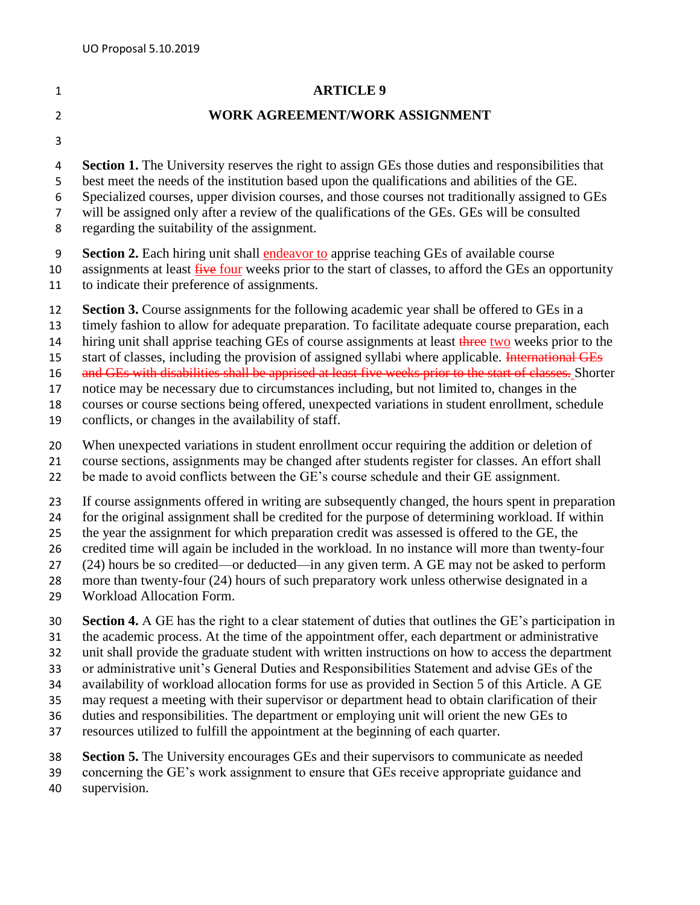## **ARTICLE 9**

## **WORK AGREEMENT/WORK ASSIGNMENT**

**Section 1.** The University reserves the right to assign GEs those duties and responsibilities that

best meet the needs of the institution based upon the qualifications and abilities of the GE.

Specialized courses, upper division courses, and those courses not traditionally assigned to GEs

will be assigned only after a review of the qualifications of the GEs. GEs will be consulted

regarding the suitability of the assignment.

**Section 2.** Each hiring unit shall endeavor to apprise teaching GEs of available course

10 assignments at least five four weeks prior to the start of classes, to afford the GEs an opportunity

to indicate their preference of assignments.

**Section 3.** Course assignments for the following academic year shall be offered to GEs in a

timely fashion to allow for adequate preparation. To facilitate adequate course preparation, each

14 hiring unit shall apprise teaching GEs of course assignments at least three two weeks prior to the

15 start of classes, including the provision of assigned syllabi where applicable. International GEs

16 and GEs with disabilities shall be apprised at least five weeks prior to the start of classes. Shorter

notice may be necessary due to circumstances including, but not limited to, changes in the

courses or course sections being offered, unexpected variations in student enrollment, schedule

conflicts, or changes in the availability of staff.

When unexpected variations in student enrollment occur requiring the addition or deletion of

course sections, assignments may be changed after students register for classes. An effort shall

be made to avoid conflicts between the GE's course schedule and their GE assignment.

If course assignments offered in writing are subsequently changed, the hours spent in preparation

for the original assignment shall be credited for the purpose of determining workload. If within

the year the assignment for which preparation credit was assessed is offered to the GE, the

credited time will again be included in the workload. In no instance will more than twenty-four

(24) hours be so credited—or deducted—in any given term. A GE may not be asked to perform

more than twenty-four (24) hours of such preparatory work unless otherwise designated in a

Workload Allocation Form.

**Section 4.** A GE has the right to a clear statement of duties that outlines the GE's participation in

the academic process. At the time of the appointment offer, each department or administrative

unit shall provide the graduate student with written instructions on how to access the department

or administrative unit's General Duties and Responsibilities Statement and advise GEs of the

availability of workload allocation forms for use as provided in Section 5 of this Article. A GE

 may request a meeting with their supervisor or department head to obtain clarification of their duties and responsibilities. The department or employing unit will orient the new GEs to

resources utilized to fulfill the appointment at the beginning of each quarter.

 **Section 5.** The University encourages GEs and their supervisors to communicate as needed concerning the GE's work assignment to ensure that GEs receive appropriate guidance and

supervision.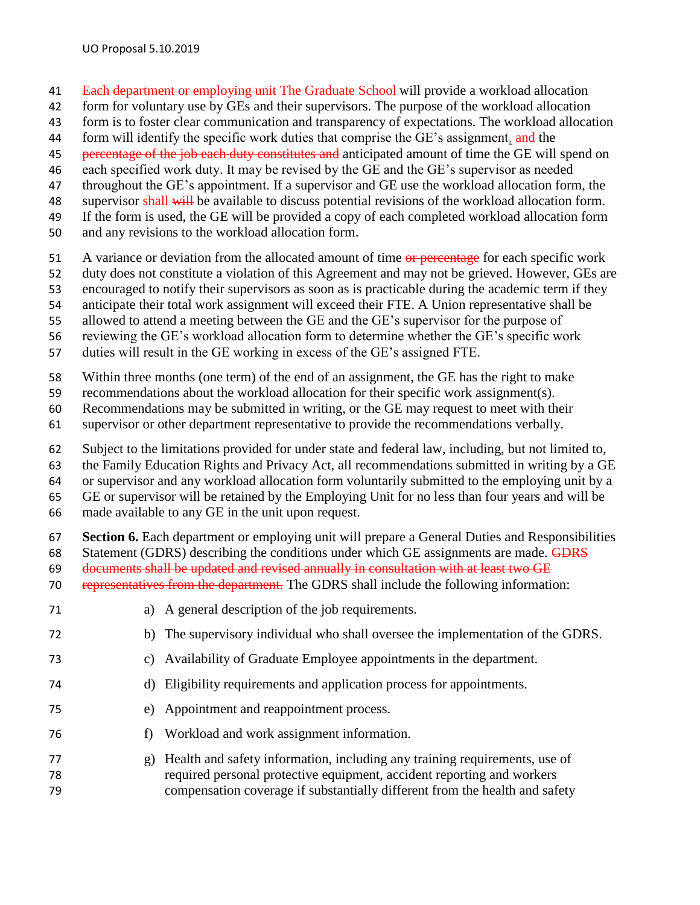- 41 Each department or employing unit The Graduate School will provide a workload allocation
- form for voluntary use by GEs and their supervisors. The purpose of the workload allocation
- form is to foster clear communication and transparency of expectations. The workload allocation
- 44 form will identify the specific work duties that comprise the GE's assignment, and the
- 45 percentage of the job each duty constitutes and anticipated amount of time the GE will spend on
- each specified work duty. It may be revised by the GE and the GE's supervisor as needed
- throughout the GE's appointment. If a supervisor and GE use the workload allocation form, the
- 48 supervisor shall will be available to discuss potential revisions of the workload allocation form.
- If the form is used, the GE will be provided a copy of each completed workload allocation form
- and any revisions to the workload allocation form.
- 51 A variance or deviation from the allocated amount of time or percentage for each specific work
- duty does not constitute a violation of this Agreement and may not be grieved. However, GEs are
- encouraged to notify their supervisors as soon as is practicable during the academic term if they
- anticipate their total work assignment will exceed their FTE. A Union representative shall be
- allowed to attend a meeting between the GE and the GE's supervisor for the purpose of
- reviewing the GE's workload allocation form to determine whether the GE's specific work
- duties will result in the GE working in excess of the GE's assigned FTE.
- Within three months (one term) of the end of an assignment, the GE has the right to make
- recommendations about the workload allocation for their specific work assignment(s).
- Recommendations may be submitted in writing, or the GE may request to meet with their
- supervisor or other department representative to provide the recommendations verbally.
- Subject to the limitations provided for under state and federal law, including, but not limited to,
- the Family Education Rights and Privacy Act, all recommendations submitted in writing by a GE
- or supervisor and any workload allocation form voluntarily submitted to the employing unit by a
- GE or supervisor will be retained by the Employing Unit for no less than four years and will be
- made available to any GE in the unit upon request.
- **Section 6.** Each department or employing unit will prepare a General Duties and Responsibilities
- 68 Statement (GDRS) describing the conditions under which GE assignments are made. GDRS
- documents shall be updated and revised annually in consultation with at least two GE
- representatives from the department. The GDRS shall include the following information:
- a) A general description of the job requirements.
- b) The supervisory individual who shall oversee the implementation of the GDRS.
- c) Availability of Graduate Employee appointments in the department.
- d) Eligibility requirements and application process for appointments.
- e) Appointment and reappointment process.
- f) Workload and work assignment information.
- g) Health and safety information, including any training requirements, use of required personal protective equipment, accident reporting and workers compensation coverage if substantially different from the health and safety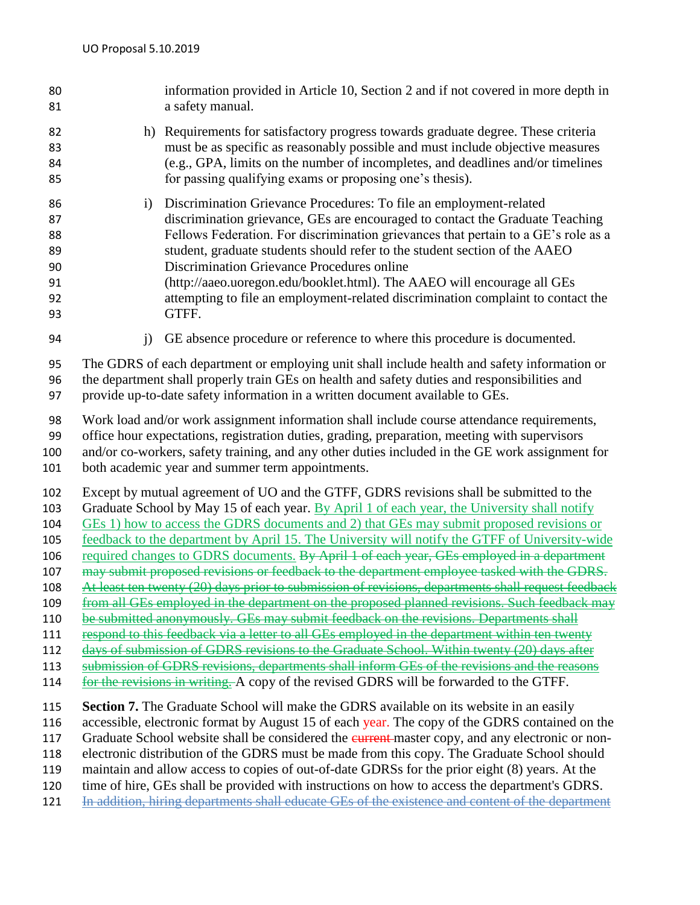| 80<br>81                                                                         |                                                                                                                                                                                                                                                                               | information provided in Article 10, Section 2 and if not covered in more depth in<br>a safety manual.                                                                                                                                                                                                                                                                                                                                                                                                                                                                                                                                                                                                                                                                                                                                                                                                                                                                                                                                                                          |
|----------------------------------------------------------------------------------|-------------------------------------------------------------------------------------------------------------------------------------------------------------------------------------------------------------------------------------------------------------------------------|--------------------------------------------------------------------------------------------------------------------------------------------------------------------------------------------------------------------------------------------------------------------------------------------------------------------------------------------------------------------------------------------------------------------------------------------------------------------------------------------------------------------------------------------------------------------------------------------------------------------------------------------------------------------------------------------------------------------------------------------------------------------------------------------------------------------------------------------------------------------------------------------------------------------------------------------------------------------------------------------------------------------------------------------------------------------------------|
| 82<br>83<br>84<br>85                                                             |                                                                                                                                                                                                                                                                               | h) Requirements for satisfactory progress towards graduate degree. These criteria<br>must be as specific as reasonably possible and must include objective measures<br>(e.g., GPA, limits on the number of incompletes, and deadlines and/or timelines<br>for passing qualifying exams or proposing one's thesis).                                                                                                                                                                                                                                                                                                                                                                                                                                                                                                                                                                                                                                                                                                                                                             |
| 86<br>87<br>88<br>89<br>90<br>91<br>92<br>93                                     | i)                                                                                                                                                                                                                                                                            | Discrimination Grievance Procedures: To file an employment-related<br>discrimination grievance, GEs are encouraged to contact the Graduate Teaching<br>Fellows Federation. For discrimination grievances that pertain to a GE's role as a<br>student, graduate students should refer to the student section of the AAEO<br>Discrimination Grievance Procedures online<br>(http://aaeo.uoregon.edu/booklet.html). The AAEO will encourage all GEs<br>attempting to file an employment-related discrimination complaint to contact the<br>GTFF.                                                                                                                                                                                                                                                                                                                                                                                                                                                                                                                                  |
| 94                                                                               | j)                                                                                                                                                                                                                                                                            | GE absence procedure or reference to where this procedure is documented.                                                                                                                                                                                                                                                                                                                                                                                                                                                                                                                                                                                                                                                                                                                                                                                                                                                                                                                                                                                                       |
| 95<br>96<br>97                                                                   | The GDRS of each department or employing unit shall include health and safety information or<br>the department shall properly train GEs on health and safety duties and responsibilities and<br>provide up-to-date safety information in a written document available to GEs. |                                                                                                                                                                                                                                                                                                                                                                                                                                                                                                                                                                                                                                                                                                                                                                                                                                                                                                                                                                                                                                                                                |
| 98<br>99<br>100<br>101                                                           |                                                                                                                                                                                                                                                                               | Work load and/or work assignment information shall include course attendance requirements,<br>office hour expectations, registration duties, grading, preparation, meeting with supervisors<br>and/or co-workers, safety training, and any other duties included in the GE work assignment for<br>both academic year and summer term appointments.                                                                                                                                                                                                                                                                                                                                                                                                                                                                                                                                                                                                                                                                                                                             |
| 102<br>103<br>104<br>105<br>106<br>107<br>108<br>109<br>110<br>111<br>112<br>113 |                                                                                                                                                                                                                                                                               | Except by mutual agreement of UO and the GTFF, GDRS revisions shall be submitted to the<br>Graduate School by May 15 of each year. By April 1 of each year, the University shall notify<br>GEs 1) how to access the GDRS documents and 2) that GEs may submit proposed revisions or<br>feedback to the department by April 15. The University will notify the GTFF of University-wide<br>required changes to GDRS documents. By April 1 of each year, GEs employed in a department<br>may submit proposed revisions or feedback to the department employee tasked with the GDRS.<br>At least ten twenty (20) days prior to submission of revisions, departments shall request feedback<br>from all GEs employed in the department on the proposed planned revisions. Such feedback may<br>be submitted anonymously. GEs may submit feedback on the revisions. Departments shall<br>respond to this feedback via a letter to all GEs employed in the department within ten twenty<br>days of submission of GDRS revisions to the Graduate School. Within twenty (20) days after |
| 114                                                                              |                                                                                                                                                                                                                                                                               | submission of GDRS revisions, departments shall inform GEs of the revisions and the reasons<br>for the revisions in writing. A copy of the revised GDRS will be forwarded to the GTFF.                                                                                                                                                                                                                                                                                                                                                                                                                                                                                                                                                                                                                                                                                                                                                                                                                                                                                         |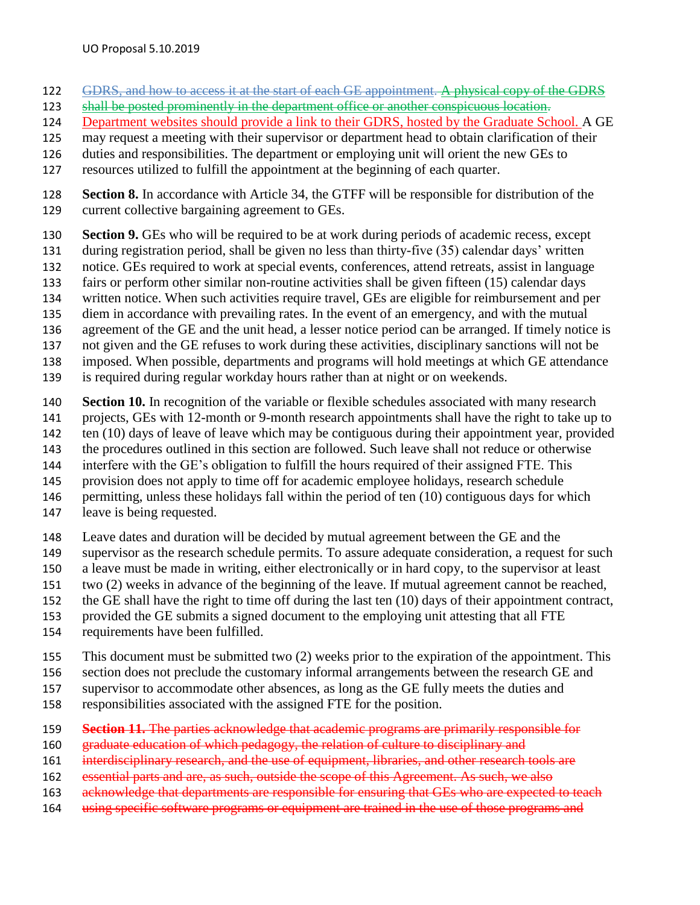- GDRS, and how to access it at the start of each GE appointment. A physical copy of the GDRS
- shall be posted prominently in the department office or another conspicuous location.
- Department websites should provide a link to their GDRS, hosted by the Graduate School. A GE
- may request a meeting with their supervisor or department head to obtain clarification of their
- duties and responsibilities. The department or employing unit will orient the new GEs to
- resources utilized to fulfill the appointment at the beginning of each quarter.
- **Section 8.** In accordance with Article 34, the GTFF will be responsible for distribution of the current collective bargaining agreement to GEs.
- **Section 9.** GEs who will be required to be at work during periods of academic recess, except
- during registration period, shall be given no less than thirty-five (35) calendar days' written
- notice. GEs required to work at special events, conferences, attend retreats, assist in language
- fairs or perform other similar non-routine activities shall be given fifteen (15) calendar days
- written notice. When such activities require travel, GEs are eligible for reimbursement and per
- diem in accordance with prevailing rates. In the event of an emergency, and with the mutual
- agreement of the GE and the unit head, a lesser notice period can be arranged. If timely notice is
- not given and the GE refuses to work during these activities, disciplinary sanctions will not be
- imposed. When possible, departments and programs will hold meetings at which GE attendance
- is required during regular workday hours rather than at night or on weekends.
- **Section 10.** In recognition of the variable or flexible schedules associated with many research
- projects, GEs with 12-month or 9-month research appointments shall have the right to take up to
- 142 ten (10) days of leave of leave which may be contiguous during their appointment year, provided
- the procedures outlined in this section are followed. Such leave shall not reduce or otherwise
- interfere with the GE's obligation to fulfill the hours required of their assigned FTE. This
- provision does not apply to time off for academic employee holidays, research schedule
- permitting, unless these holidays fall within the period of ten (10) contiguous days for which
- leave is being requested.
- Leave dates and duration will be decided by mutual agreement between the GE and the
- supervisor as the research schedule permits. To assure adequate consideration, a request for such
- a leave must be made in writing, either electronically or in hard copy, to the supervisor at least
- two (2) weeks in advance of the beginning of the leave. If mutual agreement cannot be reached,
- the GE shall have the right to time off during the last ten (10) days of their appointment contract,
- provided the GE submits a signed document to the employing unit attesting that all FTE
- requirements have been fulfilled.
- This document must be submitted two (2) weeks prior to the expiration of the appointment. This
- section does not preclude the customary informal arrangements between the research GE and
- supervisor to accommodate other absences, as long as the GE fully meets the duties and
- responsibilities associated with the assigned FTE for the position.
- **Section 11.** The parties acknowledge that academic programs are primarily responsible for
- graduate education of which pedagogy, the relation of culture to disciplinary and
- 161 interdisciplinary research, and the use of equipment, libraries, and other research tools are
- essential parts and are, as such, outside the scope of this Agreement. As such, we also
- 163 acknowledge that departments are responsible for ensuring that GEs who are expected to teach
- 164 using specific software programs or equipment are trained in the use of those programs and